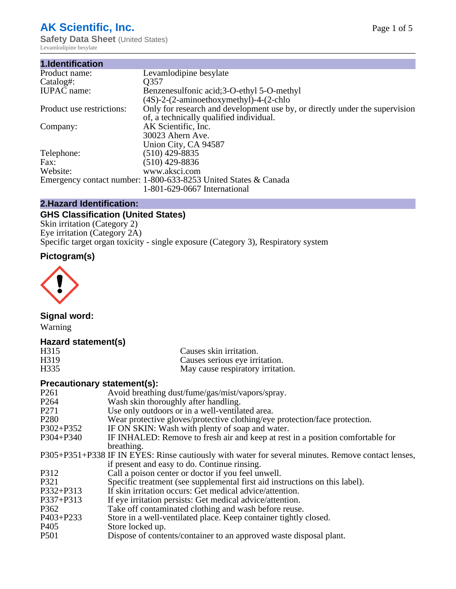## **AK Scientific, Inc.**

**Safety Data Sheet (United States)** Levamlodipine besylate

| 1.Identification          |                                                                             |
|---------------------------|-----------------------------------------------------------------------------|
| Product name:             | Levamlodipine besylate                                                      |
| Catalog#:                 | O357                                                                        |
| <b>IUPAC</b> name:        | Benzenesulfonic acid;3-O-ethyl 5-O-methyl                                   |
|                           | $(4S)-2-(2-aminoethoxymethyl)-4-(2-chlo$                                    |
| Product use restrictions: | Only for research and development use by, or directly under the supervision |
|                           | of, a technically qualified individual.                                     |
| Company:                  | AK Scientific, Inc.                                                         |
|                           | 30023 Ahern Ave.                                                            |
|                           | Union City, CA 94587                                                        |
| Telephone:                | $(510)$ 429-8835                                                            |
| Fax:                      | $(510)$ 429-8836                                                            |
| Website:                  | www.aksci.com                                                               |
|                           | Emergency contact number: 1-800-633-8253 United States & Canada             |
|                           | 1-801-629-0667 International                                                |

#### **2.Hazard Identification:**

## **GHS Classification (United States)**

Skin irritation (Category 2) Eye irritation (Category 2A) Specific target organ toxicity - single exposure (Category 3), Respiratory system

## **Pictogram(s)**



## **Signal word:**

Warning

#### **Hazard statement(s)**

| H315              | Causes skin irritation.           |
|-------------------|-----------------------------------|
| H <sub>3</sub> 19 | Causes serious eye irritation.    |
| H <sub>335</sub>  | May cause respiratory irritation. |

#### **Precautionary statement(s):**

| P <sub>261</sub> | Avoid breathing dust/fume/gas/mist/vapors/spray.                                                   |
|------------------|----------------------------------------------------------------------------------------------------|
| P <sub>264</sub> | Wash skin thoroughly after handling.                                                               |
| P <sub>271</sub> | Use only outdoors or in a well-ventilated area.                                                    |
| P <sub>280</sub> | Wear protective gloves/protective clothing/eye protection/face protection.                         |
| P302+P352        | IF ON SKIN: Wash with plenty of soap and water.                                                    |
| $P304 + P340$    | IF INHALED: Remove to fresh air and keep at rest in a position comfortable for                     |
|                  | breathing.                                                                                         |
|                  | P305+P351+P338 IF IN EYES: Rinse cautiously with water for several minutes. Remove contact lenses, |
|                  | if present and easy to do. Continue rinsing.                                                       |
| P312             | Call a poison center or doctor if you feel unwell.                                                 |
| P321             | Specific treatment (see supplemental first aid instructions on this label).                        |
| P332+P313        | If skin irritation occurs: Get medical advice/attention.                                           |
| $P337 + P313$    | If eye irritation persists: Get medical advice/attention.                                          |
| P362             | Take off contaminated clothing and wash before reuse.                                              |
| P403+P233        | Store in a well-ventilated place. Keep container tightly closed.                                   |
| P <sub>405</sub> | Store locked up.                                                                                   |
| P <sub>501</sub> | Dispose of contents/container to an approved waste disposal plant.                                 |
|                  |                                                                                                    |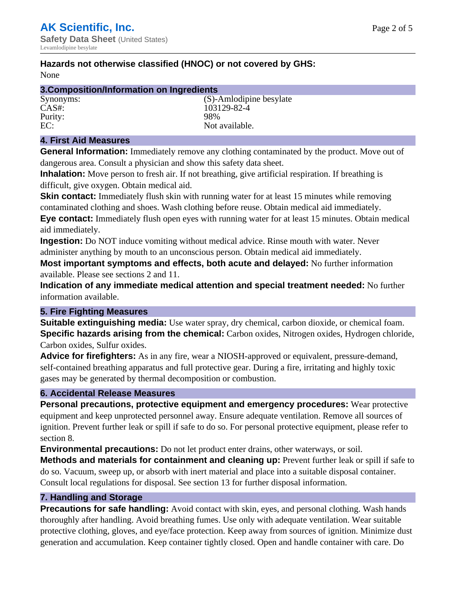## **Hazards not otherwise classified (HNOC) or not covered by GHS:**

None

| 3. Composition/Information on Ingredients |                         |  |
|-------------------------------------------|-------------------------|--|
| Synonyms:                                 | (S)-Amlodipine besylate |  |
| $CAS#$ :                                  | 103129-82-4             |  |
| Purity:                                   | 98%                     |  |
| EC:                                       | Not available.          |  |

#### **4. First Aid Measures**

**General Information:** Immediately remove any clothing contaminated by the product. Move out of dangerous area. Consult a physician and show this safety data sheet.

**Inhalation:** Move person to fresh air. If not breathing, give artificial respiration. If breathing is difficult, give oxygen. Obtain medical aid.

**Skin contact:** Immediately flush skin with running water for at least 15 minutes while removing contaminated clothing and shoes. Wash clothing before reuse. Obtain medical aid immediately. **Eye contact:** Immediately flush open eyes with running water for at least 15 minutes. Obtain medical aid immediately.

**Ingestion:** Do NOT induce vomiting without medical advice. Rinse mouth with water. Never administer anything by mouth to an unconscious person. Obtain medical aid immediately.

**Most important symptoms and effects, both acute and delayed:** No further information available. Please see sections 2 and 11.

**Indication of any immediate medical attention and special treatment needed:** No further information available.

#### **5. Fire Fighting Measures**

**Suitable extinguishing media:** Use water spray, dry chemical, carbon dioxide, or chemical foam. **Specific hazards arising from the chemical:** Carbon oxides, Nitrogen oxides, Hydrogen chloride, Carbon oxides, Sulfur oxides.

**Advice for firefighters:** As in any fire, wear a NIOSH-approved or equivalent, pressure-demand, self-contained breathing apparatus and full protective gear. During a fire, irritating and highly toxic gases may be generated by thermal decomposition or combustion.

#### **6. Accidental Release Measures**

**Personal precautions, protective equipment and emergency procedures:** Wear protective equipment and keep unprotected personnel away. Ensure adequate ventilation. Remove all sources of ignition. Prevent further leak or spill if safe to do so. For personal protective equipment, please refer to section 8.

**Environmental precautions:** Do not let product enter drains, other waterways, or soil.

**Methods and materials for containment and cleaning up:** Prevent further leak or spill if safe to do so. Vacuum, sweep up, or absorb with inert material and place into a suitable disposal container. Consult local regulations for disposal. See section 13 for further disposal information.

#### **7. Handling and Storage**

**Precautions for safe handling:** Avoid contact with skin, eyes, and personal clothing. Wash hands thoroughly after handling. Avoid breathing fumes. Use only with adequate ventilation. Wear suitable protective clothing, gloves, and eye/face protection. Keep away from sources of ignition. Minimize dust generation and accumulation. Keep container tightly closed. Open and handle container with care. Do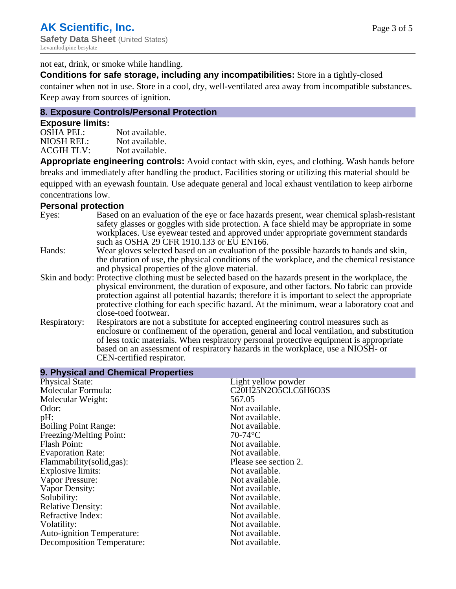not eat, drink, or smoke while handling.

**Conditions for safe storage, including any incompatibilities:** Store in a tightly-closed

container when not in use. Store in a cool, dry, well-ventilated area away from incompatible substances. Keep away from sources of ignition.

## **8. Exposure Controls/Personal Protection**

#### **Exposure limits:**

| OSHA PEL:  | Not available. |
|------------|----------------|
| NIOSH REL: | Not available. |
| ACGIH TLV: | Not available. |

**Appropriate engineering controls:** Avoid contact with skin, eyes, and clothing. Wash hands before breaks and immediately after handling the product. Facilities storing or utilizing this material should be equipped with an eyewash fountain. Use adequate general and local exhaust ventilation to keep airborne concentrations low.

#### **Personal protection**

| Eyes:        | Based on an evaluation of the eye or face hazards present, wear chemical splash-resistant<br>safety glasses or goggles with side protection. A face shield may be appropriate in some<br>workplaces. Use eyewear tested and approved under appropriate government standards<br>such as OSHA 29 CFR 1910.133 or EU EN166.                                                                                                |
|--------------|-------------------------------------------------------------------------------------------------------------------------------------------------------------------------------------------------------------------------------------------------------------------------------------------------------------------------------------------------------------------------------------------------------------------------|
| Hands:       | Wear gloves selected based on an evaluation of the possible hazards to hands and skin,<br>the duration of use, the physical conditions of the workplace, and the chemical resistance<br>and physical properties of the glove material.                                                                                                                                                                                  |
|              | Skin and body: Protective clothing must be selected based on the hazards present in the workplace, the<br>physical environment, the duration of exposure, and other factors. No fabric can provide<br>protection against all potential hazards; therefore it is important to select the appropriate<br>protective clothing for each specific hazard. At the minimum, wear a laboratory coat and<br>close-toed footwear. |
| Respiratory: | Respirators are not a substitute for accepted engineering control measures such as<br>enclosure or confinement of the operation, general and local ventilation, and substitution<br>of less toxic materials. When respiratory personal protective equipment is appropriate<br>based on an assessment of respiratory hazards in the workplace, use a NIOSH- or<br>CEN-certified respirator.                              |

| 9. Physical and Chemical Properties |                       |
|-------------------------------------|-----------------------|
| <b>Physical State:</b>              | Light yellow powder   |
| Molecular Formula:                  | C20H25N2O5Cl.C6H6O3S  |
| Molecular Weight:                   | 567.05                |
| Odor:                               | Not available.        |
| pH:                                 | Not available.        |
| <b>Boiling Point Range:</b>         | Not available.        |
| Freezing/Melting Point:             | $70-74$ °C            |
| <b>Flash Point:</b>                 | Not available.        |
| <b>Evaporation Rate:</b>            | Not available.        |
| Flammability (solid, gas):          | Please see section 2. |
| Explosive limits:                   | Not available.        |
| Vapor Pressure:                     | Not available.        |
| Vapor Density:                      | Not available.        |
| Solubility:                         | Not available.        |
| <b>Relative Density:</b>            | Not available.        |
| Refractive Index:                   | Not available.        |
| Volatility:                         | Not available.        |
| <b>Auto-ignition Temperature:</b>   | Not available.        |
| Decomposition Temperature:          | Not available.        |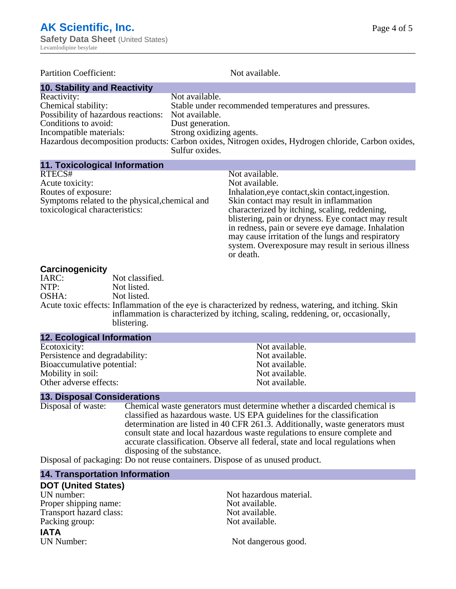| <b>Partition Coefficient:</b>                      | Not available.                                                                                      |
|----------------------------------------------------|-----------------------------------------------------------------------------------------------------|
| <b>10. Stability and Reactivity</b>                |                                                                                                     |
| Reactivity:                                        | Not available.                                                                                      |
| Chemical stability:                                | Stable under recommended temperatures and pressures.                                                |
| Possibility of hazardous reactions: Not available. |                                                                                                     |
| Conditions to avoid:                               | Dust generation.                                                                                    |
| Incompatible materials:                            | Strong oxidizing agents.                                                                            |
|                                                    | Hazardous decomposition products: Carbon oxides, Nitrogen oxides, Hydrogen chloride, Carbon oxides, |
|                                                    | Sulfur oxides.                                                                                      |

#### **11. Toxicological Information**

| Not available.                                      |
|-----------------------------------------------------|
| Not available.                                      |
| Inhalation, eye contact, skin contact, ingestion.   |
| Skin contact may result in inflammation             |
| characterized by itching, scaling, reddening,       |
| blistering, pain or dryness. Eye contact may result |
| in redness, pain or severe eye damage. Inhalation   |
| may cause irritation of the lungs and respiratory   |
| system. Overexposure may result in serious illness  |
| or death.                                           |
|                                                     |

#### **Carcinogenicity**

| $   -$ |                                                                                                       |
|--------|-------------------------------------------------------------------------------------------------------|
| IARC:  | Not classified.                                                                                       |
| NTP:   | Not listed.                                                                                           |
| OSHA:  | Not listed.                                                                                           |
|        | Acute toxic effects: Inflammation of the eye is characterized by redness, watering, and itching. Skin |
|        | inflammation is characterized by itching, scaling, reddening, or, occasionally,                       |
|        | blistering.                                                                                           |

| <b>12. Ecological Information</b> |                |
|-----------------------------------|----------------|
| Ecotoxicity:                      | Not available. |
| Persistence and degradability:    | Not available. |
| Bioaccumulative potential:        | Not available. |
| Mobility in soil:                 | Not available. |
| Other adverse effects:            | Not available. |

# **13. Disposal Considerations**

Chemical waste generators must determine whether a discarded chemical is classified as hazardous waste. US EPA guidelines for the classification determination are listed in 40 CFR 261.3. Additionally, waste generators must consult state and local hazardous waste regulations to ensure complete and accurate classification. Observe all federal, state and local regulations when disposing of the substance.

Disposal of packaging: Do not reuse containers. Dispose of as unused product.

#### **14. Transportation Information**

| <b>DOT (United States)</b> |  |
|----------------------------|--|
| UN number:                 |  |
| Proper shipping name:      |  |
| Transport hazard class:    |  |
| Packing group:             |  |
| ΙΔΤΔ                       |  |

**IATA**<br>UN Number:

Not hazardous material. Not available. Not available. Not available.

Not dangerous good.